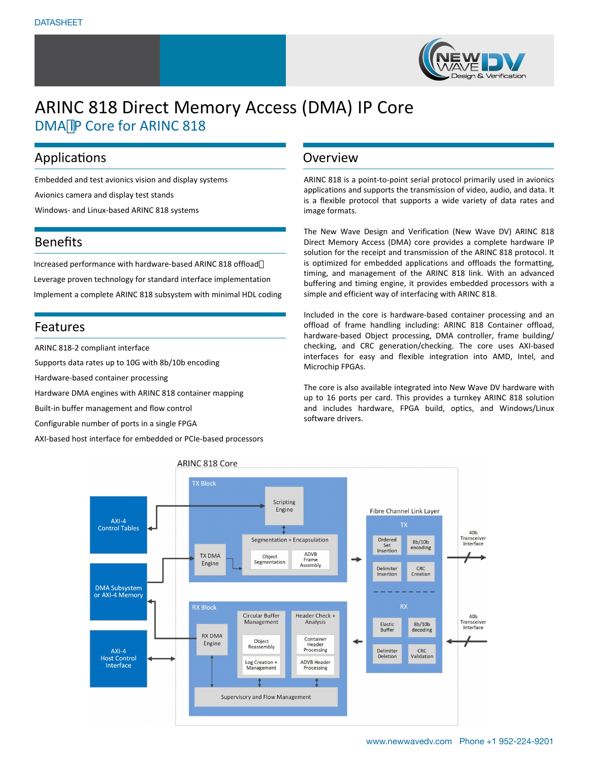

# ARINC 818 Direct Memory Access (DMA) IP Core DMA IP Core for ARINC 818

### Applications

Embedded and test avionics vision and display systems Avionics camera and display test stands Windows- and Linux-based ARINC 818 systems

## Benefits

Increased performance with hardware-based ARINC 818 offload Leverage proven technology for standard interface implementation Implement a complete ARINC 818 subsystem with minimal HDL coding

### Features

ARINC 818-2 compliant interface

Supports data rates up to 10G with 8b/10b encoding

Hardware-based container processing

Hardware DMA engines with ARINC 818 container mapping

Built-in buffer management and flow control

Configurable number of ports in a single FPGA

AXI-based host interface for embedded or PCIe-based processors

#### **Overview**

ARINC 818 is a point-to-point serial protocol primarily used in avionics applications and supports the transmission of video, audio, and data. It is a flexible protocol that supports a wide variety of data rates and image formats.

The New Wave Design and Verification (New Wave DV) ARINC 818 Direct Memory Access (DMA) core provides a complete hardware IP solution for the receipt and transmission of the ARINC 818 protocol. It is optimized for embedded applications and offloads the formatting, timing, and management of the ARINC 818 link. With an advanced buffering and timing engine, it provides embedded processors with a simple and efficient way of interfacing with ARINC 818.

Included in the core is hardware-based container processing and an offload of frame handling including: ARINC 818 Container offload, hardware-based Object processing, DMA controller, frame building/ checking, and CRC generation/checking. The core uses AXI-based interfaces for easy and flexible integration into AMD, Intel, and Microchip FPGAs.

The core is also available integrated into New Wave DV hardware with up to 16 ports per card. This provides a turnkey ARINC 818 solution and includes hardware, FPGA build, optics, and Windows/Linux software drivers.